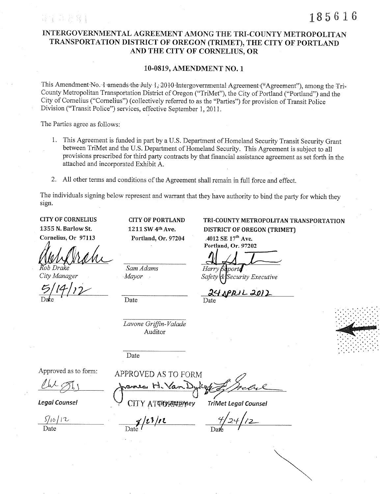# INTERGOVERNMENTAL AGREEMENT AMONG THE TRI-COUNTY METROPOLITAN TRANSPORTATION DISTRICT OF OREGON (TRIMET), THE CITY OF PORTLAND AND THE CITY OF CORNELIUS, OR

## 10-0819, AMENDMENT NO. 1

This Amendment No. 1 amends the July 1, 2010 Intergovernmental Agreement ("Agreement"), among the Tri-County Metropolitan Transportation District of Oregon ("TriMet"), the City of Portland ("Portland") and the City of Cornelius ("Cornelius") (collectively referred to as the "Parties") for provision of Transit Police Division ("Transit Police") services, effective September 1, 2011.

The Parties agree as follows:

导军 自去客

- 1. This Agreement is funded in part by a U.S. Department of Homeland Security Transit Security Grant between TriMet and the U.S. Department of Homeland Security. This Agreement is subject to all provisions prescribed for third party contracts by that financial assistance agreement as set forth in the attached and incorporated Exhibit A.
- 2. All other terms and conditions of the Agreement shall remain in full force and effect.

The individuals signing below represent and warrant that they have authority to bind the party for which they sign.

**CITY OF CORNELIUS** 1355 N. Barlow St. Cornelius, Or 97113

City Manager

**CITY OF PORTLAND** 1211 SW 4th Ave. Portland, Or. 97204

Sam Adams Mayor

Date

Date

Lavone Griffin-Valade Auditor

TRI-COUNTY METROPOLITAN TRANSPORTATION **DISTRICT OF OREGON (TRIMET)** 

.4012 SE 17<sup>th</sup> Ave. Portland, Or. 97202

Harry norte

Security Executive

<u>APRIL 2012</u>

Date



Approved as to form:

**Legal Counsel** 

 $5/10/12$ 

APPROVED AS TO FORM  $446$ ames H. Van

**TriMet Legal Counsel** 

 $3/23/12$ 

CITY ATTORATIONey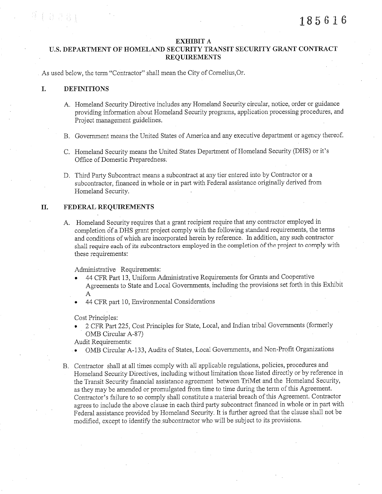#### **EXHIBIT A**

## U.S. DEPARTMENT OF HOMELAND SECURITY TRANSIT SECURITY GRANT CONTRACT **REQUIREMENTS**

As used below, the term "Contractor" shall mean the City of Cornelius, Or.

#### I. **DEFINITIONS**

1333

- A. Homeland Security Directive includes any Homeland Security circular, notice, order or guidance providing information about Homeland Security programs, application processing procedures, and Project management guidelines.
- B. Government means the United States of America and any executive department or agency thereof.
- C. Homeland Security means the United States Department of Homeland Security (DHS) or it's Office of Domestic Preparedness.
- D. Third Party Subcontract means a subcontract at any tier entered into by Contractor or a subcontractor, financed in whole or in part with Federal assistance originally derived from Homeland Security.

#### Π. FEDERAL REQUIREMENTS

A. Homeland Security requires that a grant recipient require that any contractor employed in completion of a DHS grant project comply with the following standard requirements, the terms and conditions of which are incorporated herein by reference. In addition, any such contractor shall require each of its subcontractors employed in the completion of the project to comply with these requirements:

Administrative Requirements:

- 44 CFR Part 13, Uniform Administrative Requirements for Grants and Cooperative Agreements to State and Local Governments, including the provisions set forth in this Exhibit  $\mathbf{A}$
- 44 CFR part 10, Environmental Considerations

Cost Principles:

2 CFR Part 225, Cost Principles for State, Local, and Indian tribal Governments (formerly OMB Circular A-87)

Audit Requirements:

- OMB Circular A-133, Audits of States, Local Governments, and Non-Profit Organizations
- B. Contractor shall at all times comply with all applicable regulations, policies, procedures and Homeland Security Directives, including without limitation those listed directly or by reference in the Transit Security financial assistance agreement between TriMet and the Homeland Security, as they may be amended or promulgated from time to time during the term of this Agreement. Contractor's failure to so comply shall constitute a material breach of this Agreement. Contractor agrees to include the above clause in each third party subcontract financed in whole or in part with Federal assistance provided by Homeland Security. It is further agreed that the clause shall not be modified, except to identify the subcontractor who will be subject to its provisions.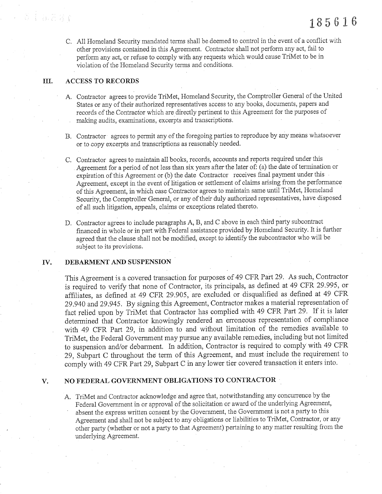C. All Homeland Security mandated terms shall be deemed to control in the event of a conflict with other provisions contained in this Agreement. Contractor shall not perform any act, fail to perform any act, or refuse to comply with any requests which would cause TriMet to be in violation of the Homeland Security terms and oonditions.

#### III. ACCESS TO RECORD

- A. Contractor agrees to provide TriMet, Homeland Security, the Comptroller General of the United States or any of their authorized representatives access to any books, documents, papers and records of the Contractor which are directly pertinent to this Agreement for the purposes of making audits, examinations, excerpts and transcriptions.
- B. Contractor agrees to permit any of the foregoing parties to reproduce by any means whatsoever or to copy excetpts and transcriptions as reasonably needed,
- C. Contractor agrees to maintain all books, records, accounts and reports required under this Agreement for a period of not less than six years after the later of: (a) the date of termination or expiration of this Agreement or (b) the date Contractor receives final payrnent under this Agreement, except in the event of litigation or settiement of claims arising from the performance of this Agreement, in which case Contractor agrees to maintain same until TriMet, Ilomeiand Security, the Comptroller General, or any of their duly authorized representatives, have disposed of all such iitigation, appeals, ciaims or exceptions related thereto,
- D. Contractor agrees to include paragraphs A, B, and C above in each third party subcontract financed in whole or in part with Federal assistance provided by Homeland Security. It is further agreed that the clause shall not be modified, except to identify the subcontractor who will be subject to its provisions.

#### rv. DEBARMENT AND SUSPENSION

This Agreement is a covered transaction for purposes of 49 CFR Part 29. As such, Contractor is required to verify that none of Contractor, its principals, as defined at 49 CFR 29.995, or affiliates, as defined at 49 CFR 29.905, are excluded or disqualified as defined at 49 CFR 29.940 and 29.945. By signing this Agreement, Contractor makes a material representation of fact relied upon by TriMet that Contractor has complied with 49 CFR Part 29. If it is later determined that Contractor knowingly rendered an erroneous representation of compliance with 49 CFR Part 29, in addition to and without limitation of the remedies available to TriMet, the Federal Government may pursue any available remedies, including but not lirnited to suspension and/or debannent. In addition, Contractor is required to comply with 49 CFR 29, Subpart C throughout the term of this Agreement, and must include the requirement to comply with 49 CFR Part 29, Subpart C in any lower tier covered transaction it enters into.

#### v. NO FEDERAL GOVERNMENT OBLIGATIONS TO CONTRACTOR  $\cdot$

A. TriMet and Contractor acknowledge and agree that, notwithstanding any concurrence by the Federal Government in or approval of the solicitation or award of the underlying Agreement, absent the express wntten consent by the Government, the Government is not a party to this Agreement and shatl not be subject to any obligations or liabilities to TriMet, Contractor, or any other party (whether or not a party to that Agreement) pertaining to any matter resulting from the underlying Agreement.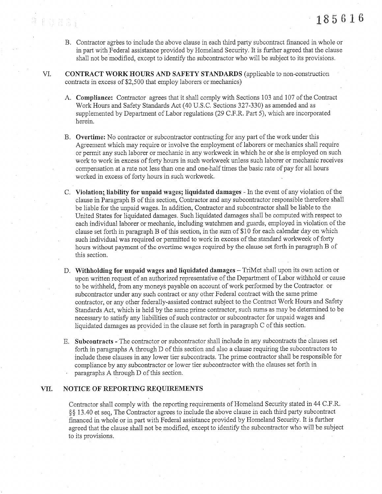B. Contractor agrèes to include the above clause in each third party subcontract financed in whole or in part with Federal assistance provided by Homeland Security. It is further agreed that the clause shall not be modified, except to identify the subcontractor who will be subject to its provisions.

VI. CONTRACT WORK HOURS AND SAFETY STANDARDS (applicable to non-construction contracts ín excess of \$2,500 that empioy laborers or mechanics)

- A. Compliance: Contractor agrees that it shall comply with Sections 103 and 107 of the Contract Work Hours and Safety Standards Act (40 U.S.C. Sections 327 -330) as amended and as supplemented by Department of Labor regulations (29 C.F,R. Part 5), which are incorporated herein.
- B. Overtime: No contractor or subcontractor contracting for any part of the work under this Agreement which may require or involve the employment of laborers or mechanics shall require or permit any such laborer or mechanic in any workweek in which he or she is empioyed on such work to work in excess of forty hours in such workweek unless such laborer or mechanic receives compensation al a rate not less than one and one-half times the basic rate of pay for all hours worked in excess of forty hours in such workweek,
- C. Violation;, tiabilify for unpaid wages; liquidated damages ln the event of any violation of the clause in Paragraph B of this section, Contractor and any subcontractor responsible therefore shall be liabie for the unpaid wages, In addition, Contractor and subcontractor shall be liable to the United States for liquidated damages. Such liquidated damages shall be computed with respect to each individual laborer or mechanic, including watchmen and guards, employed in violation of the clause set forth in paragraph B of this section, in the sum of \$10 for each calendar day on which such individual was required or permitted to work in excess of the standard workweek of forty hours without payment of the overtime wages required by the clause set forth in paragraph B of this section.
- D. Withholding for unpaid wages and liquidated damages TriMet shall upon its own action or upon writlen request of an authorized representative of the Department of Labor withhold or cause to be withheld, from any moneys payable on account of work performed by the Contractor or subcontractor under any such contract or any other Federai contract with the same prime contractor, or any other federally-assisted contract subject to the Contract Work Hours and Safety Standards Act, which is held by the same prime contractor, such sums as may be determined to be necessary to satisfy any liabilities of such contractor or subcontractor for unpaid wages and liquidated damages as provided in the clause set forth in paragraph C of this section.
- E. Subcontracts The contractor or subcontractor shall include in any subcontracts the clauses set forth in paragraphs A through D of this section and also a clause requiring the subcontractors to include these clauses in any lower tier subcontracts, The prime contractor shall be responsible for compliance by any subcontractor or lower tier subcontractor with the clauses set forlh in paragraphs A through D of this section.

## VII. NOTICE OF REPORTING REQUIREMENTS

**手段 2.6%** 

Contractor shall comply with the reporting requirements of lfomeland Security stated in 44 C.F,R. §§ 13.40 et seq, The Contractor agrees to include the above clause in each third party subcontract financed in whole or in part with Federal assistance provided by Homeland Security. It is further agreed that the clause shall not be modified, except to identify the subcontractor who will be subject to its provisions,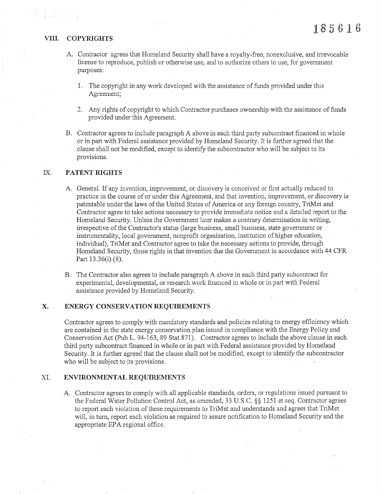# VIII. COPYRIGHTS  $185616$

olagaj

- A. Contractor agrees that Homeland Security shall have a royalty-free, nonexclusive, and irrevocable license to reproduce, pubiish or othenvise use, and to authorize others to use, for government purposes:
	- 1. The copyright in any work developed with the assistance of funds provided under this Agreement;
	- 2. Any rights of copyright to which Contractor purchases ownership with the assistance of funds provided under this Agreement.
- B. Contractor agrees to include paragraph A above in each third party subcontract financed in whole or in part with Federal assistance provided by Homeland Security. It is further agreed that the clause shall not be modified, except to identify the subcontractor who will be subject to its provisions.

## IX. PATENT RIGHTS

- A. General. If any invention, improvement, or discovery is conceived or first actually reduced to practice in the course of or under this Agreement, and that invention, improvement, or discovery is patentable under the laws of the United States of America or any foreign country, TriMet and Contractor agree to take actions necessary to provide immediate notice and a detailed report to the Homeland Security. Unless the Government later makes a contrary determination in writing, irrespective of the Contractor's status (large business, smali business, state govemment or instrumentality, local government, nonprofit organization, institution of higher education, individual), TriMet and Contractor agree to take the necessary actions to provide, through Homeland Security, those rights in that invention due the Govenrment in accordance with 44 CFR Part  $13.36(i)$  (8).
- B. The Contractor also agrees to include paragraph A above in each third party subcontract for experimental, developmental, or research work financed in whole or in part with Federal assistance provided by Homeland Security.

## X. ENERGY CONSERVATION REQUIREMENTS

Contractor agrees to comply with mandatory standards and policies relating to energy efficiency which are contained in the state energy conservation plan issued in compliance with the Energy Policy and Conservation Act (Pub L.94-163, B9 Stat.87l). Contractor agrees to inciude the above clause in each third party subcontract financed in whole or in part with Federal assistance provided by Homeland Security. It is further agreed that the clause shall not be modifîed, except to identify the subcontractor who will be subject to its provisions.

#### XI. ENVIRONMENTAL REQUIREMENTS

A. Contractor agrees to comply with all applicable standards, orders, or regulations issued pursuant to the Federal Water Pollution Control Act, as amended, 33 U.S.C. \$\$ 1251 et seq. Contractor agrees to report each violation of these requirements to TriMet and understands and agrees that TriMet will, in turn, report each violation as required to assure notification to Homeland Security and the appropriate EPA regional offìce.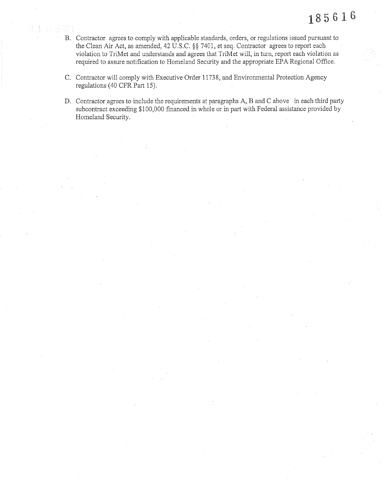- B. Contractor agrees to comply with applicable standards, orders, or regulations issued pursuant to the Clean Air Act, as amended, 42 U.S.C. §§ 7401, et seq. Contractor agrees to report each violation to TriMet and understands and agrees that TriMet will, in turn, report each violation as required to assure notification to Homeland Security and the appropriate EPA Regional Office.
- C. Contractor wiil comply with Executive Order 11738, and Environmental Protection Agency regulations (40 CFR Part 15).
- D. Contractor agrees to include the requirements at paragraphs A, B and C above in each third party subcontract exceeding \$100,000 financed in whole or in part with Federal assistance provided by Homeland Security.